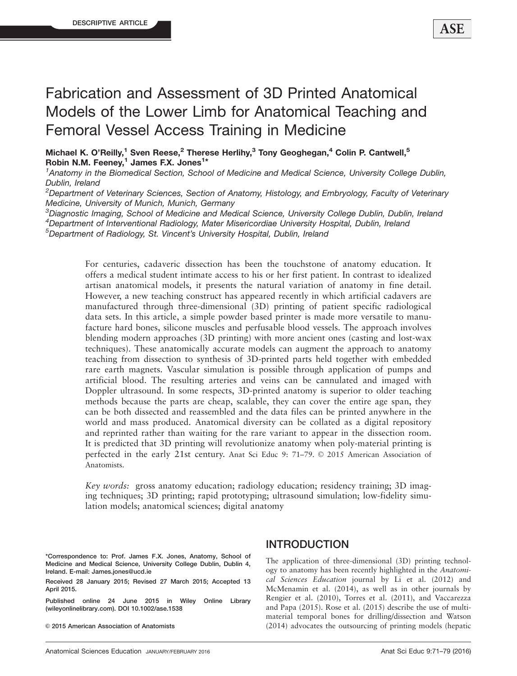# Fabrication and Assessment of 3D Printed Anatomical Models of the Lower Limb for Anatomical Teaching and Femoral Vessel Access Training in Medicine

Michael K. O'Reilly,<sup>1</sup> Sven Reese,<sup>2</sup> Therese Herlihy,<sup>3</sup> Tony Geoghegan,<sup>4</sup> Colin P. Cantwell,<sup>5</sup> Robin N.M. Feeney, $1$  James F.X. Jones<sup>1\*</sup>

<sup>1</sup> Anatomy in the Biomedical Section, School of Medicine and Medical Science, University College Dublin, Dublin, Ireland

<sup>2</sup>Department of Veterinary Sciences, Section of Anatomy, Histology, and Embryology, Faculty of Veterinary Medicine, University of Munich, Munich, Germany

<sup>3</sup>Diagnostic Imaging, School of Medicine and Medical Science, University College Dublin, Dublin, Ireland 4 Department of Interventional Radiology, Mater Misericordiae University Hospital, Dublin, Ireland

5 Department of Radiology, St. Vincent's University Hospital, Dublin, Ireland

For centuries, cadaveric dissection has been the touchstone of anatomy education. It offers a medical student intimate access to his or her first patient. In contrast to idealized artisan anatomical models, it presents the natural variation of anatomy in fine detail. However, a new teaching construct has appeared recently in which artificial cadavers are manufactured through three-dimensional (3D) printing of patient specific radiological data sets. In this article, a simple powder based printer is made more versatile to manufacture hard bones, silicone muscles and perfusable blood vessels. The approach involves blending modern approaches (3D printing) with more ancient ones (casting and lost-wax techniques). These anatomically accurate models can augment the approach to anatomy teaching from dissection to synthesis of 3D-printed parts held together with embedded rare earth magnets. Vascular simulation is possible through application of pumps and artificial blood. The resulting arteries and veins can be cannulated and imaged with Doppler ultrasound. In some respects, 3D-printed anatomy is superior to older teaching methods because the parts are cheap, scalable, they can cover the entire age span, they can be both dissected and reassembled and the data files can be printed anywhere in the world and mass produced. Anatomical diversity can be collated as a digital repository and reprinted rather than waiting for the rare variant to appear in the dissection room. It is predicted that 3D printing will revolutionize anatomy when poly-material printing is perfected in the early 21st century. Anat Sci Educ 9: 71-79. © 2015 American Association of Anatomists.

Key words: gross anatomy education; radiology education; residency training; 3D imaging techniques; 3D printing; rapid prototyping; ultrasound simulation; low-fidelity simulation models; anatomical sciences; digital anatomy

\*Correspondence to: Prof. James F.X. Jones, Anatomy, School of Medicine and Medical Science, University College Dublin, Dublin 4, Ireland. E-mail: James.jones@ucd.ie

Received 28 January 2015; Revised 27 March 2015; Accepted 13 April 2015.

Published online 24 June 2015 in Wiley Online Library (wileyonlinelibrary.com). DOI 10.1002/ase.1538

© 2015 American Association of Anatomists

#### INTRODUCTION

The application of three-dimensional (3D) printing technology to anatomy has been recently highlighted in the Anatomical Sciences Education journal by Li et al. (2012) and McMenamin et al. (2014), as well as in other journals by Rengier et al. (2010), Torres et al. (2011), and Vaccarezza and Papa (2015). Rose et al. (2015) describe the use of multimaterial temporal bones for drilling/dissection and Watson (2014) advocates the outsourcing of printing models (hepatic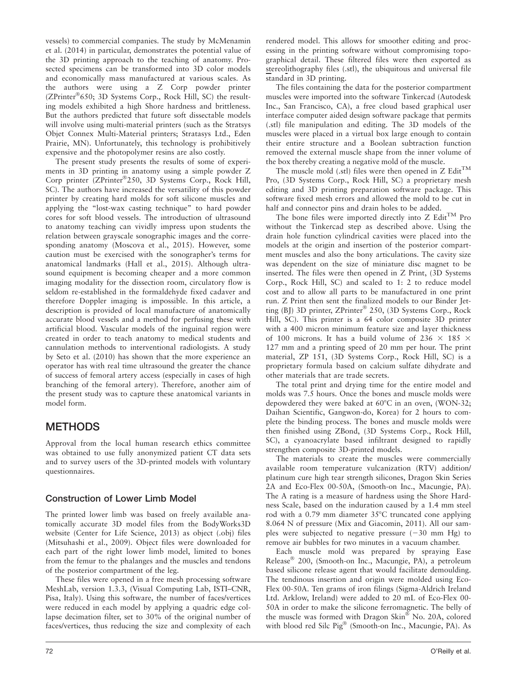vessels) to commercial companies. The study by McMenamin et al. (2014) in particular, demonstrates the potential value of the 3D printing approach to the teaching of anatomy. Prosected specimens can be transformed into 3D color models and economically mass manufactured at various scales. As the authors were using a Z Corp powder printer (ZPrinter®650; 3D Systems Corp., Rock Hill, SC) the resulting models exhibited a high Shore hardness and brittleness. But the authors predicted that future soft dissectable models will involve using multi-material printers (such as the Stratsys Objet Connex Multi-Material printers; Stratasys Ltd., Eden Prairie, MN). Unfortunately, this technology is prohibitively expensive and the photopolymer resins are also costly.

The present study presents the results of some of experiments in 3D printing in anatomy using a simple powder Z Corp printer (ZPrinter®250, 3D Systems Corp., Rock Hill, SC). The authors have increased the versatility of this powder printer by creating hard molds for soft silicone muscles and applying the "lost-wax casting technique" to hard powder cores for soft blood vessels. The introduction of ultrasound to anatomy teaching can vividly impress upon students the relation between grayscale sonographic images and the corresponding anatomy (Moscova et al., 2015). However, some caution must be exercised with the sonographer's terms for anatomical landmarks (Hall et al., 2015). Although ultrasound equipment is becoming cheaper and a more common imaging modality for the dissection room, circulatory flow is seldom re-established in the formaldehyde fixed cadaver and therefore Doppler imaging is impossible. In this article, a description is provided of local manufacture of anatomically accurate blood vessels and a method for perfusing these with artificial blood. Vascular models of the inguinal region were created in order to teach anatomy to medical students and cannulation methods to interventional radiologists. A study by Seto et al. (2010) has shown that the more experience an operator has with real time ultrasound the greater the chance of success of femoral artery access (especially in cases of high branching of the femoral artery). Therefore, another aim of the present study was to capture these anatomical variants in model form.

### METHODS

Approval from the local human research ethics committee was obtained to use fully anonymized patient CT data sets and to survey users of the 3D-printed models with voluntary questionnaires.

#### Construction of Lower Limb Model

The printed lower limb was based on freely available anatomically accurate 3D model files from the BodyWorks3D website (Center for Life Science, 2013) as object (.obj) files (Mitsuhashi et al., 2009). Object files were downloaded for each part of the right lower limb model, limited to bones from the femur to the phalanges and the muscles and tendons of the posterior compartment of the leg.

These files were opened in a free mesh processing software MeshLab, version 1.3.3, (Visual Computing Lab, ISTI–CNR, Pisa, Italy). Using this software, the number of faces/vertices were reduced in each model by applying a quadric edge collapse decimation filter, set to 30% of the original number of faces/vertices, thus reducing the size and complexity of each rendered model. This allows for smoother editing and processing in the printing software without compromising topographical detail. These filtered files were then exported as stereolithography files (.stl), the ubiquitous and universal file standard in 3D printing.

The files containing the data for the posterior compartment muscles were imported into the software Tinkercad (Autodesk Inc., San Francisco, CA), a free cloud based graphical user interface computer aided design software package that permits (.stl) file manipulation and editing. The 3D models of the muscles were placed in a virtual box large enough to contain their entire structure and a Boolean subtraction function removed the external muscle shape from the inner volume of the box thereby creating a negative mold of the muscle.

The muscle mold (.stl) files were then opened in Z  $\mathrm{Edit}^{\mathrm{TM}}$ Pro, (3D Systems Corp., Rock Hill, SC) a proprietary mesh editing and 3D printing preparation software package. This software fixed mesh errors and allowed the mold to be cut in half and connector pins and drain holes to be added.

The bone files were imported directly into  $Z$  Edit<sup>TM</sup> Pro without the Tinkercad step as described above. Using the drain hole function cylindrical cavities were placed into the models at the origin and insertion of the posterior compartment muscles and also the bony articulations. The cavity size was dependent on the size of miniature disc magnet to be inserted. The files were then opened in Z Print, (3D Systems Corp., Rock Hill, SC) and scaled to 1: 2 to reduce model cost and to allow all parts to be manufactured in one print run. Z Print then sent the finalized models to our Binder Jetting (BJ) 3D printer, ZPrinter® 250, (3D Systems Corp., Rock Hill, SC). This printer is a 64 color composite 3D printer with a 400 micron minimum feature size and layer thickness of 100 microns. It has a build volume of 236  $\times$  185  $\times$ 127 mm and a printing speed of 20 mm per hour. The print material, ZP 151, (3D Systems Corp., Rock Hill, SC) is a proprietary formula based on calcium sulfate dihydrate and other materials that are trade secrets.

The total print and drying time for the entire model and molds was 7.5 hours. Once the bones and muscle molds were depowdered they were baked at  $60^{\circ}$ C in an oven, (WON-32; Daihan Scientific, Gangwon-do, Korea) for 2 hours to complete the binding process. The bones and muscle molds were then finished using ZBond, (3D Systems Corp., Rock Hill, SC), a cyanoacrylate based infiltrant designed to rapidly strengthen composite 3D-printed models.

The materials to create the muscles were commercially available room temperature vulcanization (RTV) addition/ platinum cure high tear strength silicones, Dragon Skin Series 2A and Eco-Flex 00-50A, (Smooth-on Inc., Macungie, PA). The A rating is a measure of hardness using the Shore Hardness Scale, based on the induration caused by a 1.4 mm steel rod with a  $0.79$  mm diameter  $35^{\circ}$ C truncated cone applying 8.064 N of pressure (Mix and Giacomin, 2011). All our samples were subjected to negative pressure  $(-30 \text{ mm Hg})$  to remove air bubbles for two minutes in a vacuum chamber.

Each muscle mold was prepared by spraying Ease Release® 200, (Smooth-on Inc., Macungie, PA), a petroleum based silicone release agent that would facilitate demoulding. The tendinous insertion and origin were molded using Eco-Flex 00-50A. Ten grams of iron filings (Sigma-Aldrich Ireland Ltd. Arklow, Ireland) were added to 20 mL of Eco-Flex 00- 50A in order to make the silicone ferromagnetic. The belly of the muscle was formed with Dragon Skin® No. 20A, colored with blood red Silc Pig® (Smooth-on Inc., Macungie, PA). As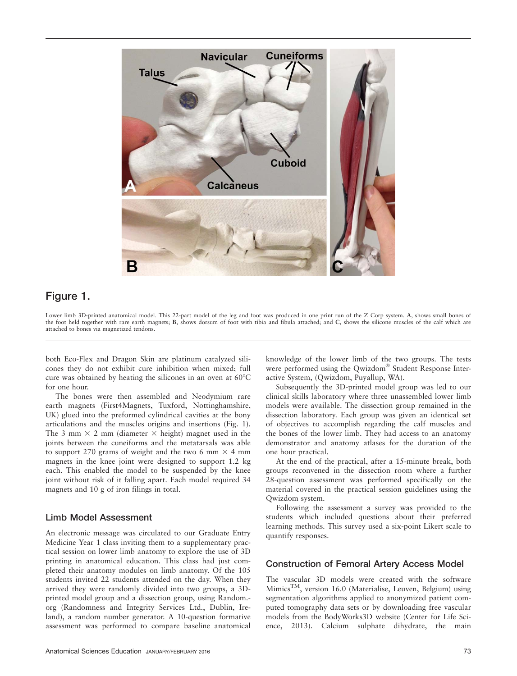

### Figure 1.

Lower limb 3D-printed anatomical model. This 22-part model of the leg and foot was produced in one print run of the Z Corp system. A, shows small bones of the foot held together with rare earth magnets; B, shows dorsum of foot with tibia and fibula attached; and C, shows the silicone muscles of the calf which are attached to bones via magnetized tendons.

both Eco-Flex and Dragon Skin are platinum catalyzed silicones they do not exhibit cure inhibition when mixed; full cure was obtained by heating the silicones in an oven at  $60^{\circ}$ C for one hour.

The bones were then assembled and Neodymium rare earth magnets (First4Magnets, Tuxford, Nottinghamshire, UK) glued into the preformed cylindrical cavities at the bony articulations and the muscles origins and insertions (Fig. 1). The 3 mm  $\times$  2 mm (diameter  $\times$  height) magnet used in the joints between the cuneiforms and the metatarsals was able to support 270 grams of weight and the two 6 mm  $\times$  4 mm magnets in the knee joint were designed to support 1.2 kg each. This enabled the model to be suspended by the knee joint without risk of it falling apart. Each model required 34 magnets and 10 g of iron filings in total.

#### Limb Model Assessment

An electronic message was circulated to our Graduate Entry Medicine Year 1 class inviting them to a supplementary practical session on lower limb anatomy to explore the use of 3D printing in anatomical education. This class had just completed their anatomy modules on limb anatomy. Of the 105 students invited 22 students attended on the day. When they arrived they were randomly divided into two groups, a 3Dprinted model group and a dissection group, using Random. org (Randomness and Integrity Services Ltd., Dublin, Ireland), a random number generator. A 10-question formative assessment was performed to compare baseline anatomical knowledge of the lower limb of the two groups. The tests were performed using the Qwizdom® Student Response Interactive System, (Qwizdom, Puyallup, WA).

Subsequently the 3D-printed model group was led to our clinical skills laboratory where three unassembled lower limb models were available. The dissection group remained in the dissection laboratory. Each group was given an identical set of objectives to accomplish regarding the calf muscles and the bones of the lower limb. They had access to an anatomy demonstrator and anatomy atlases for the duration of the one hour practical.

At the end of the practical, after a 15-minute break, both groups reconvened in the dissection room where a further 28-question assessment was performed specifically on the material covered in the practical session guidelines using the Qwizdom system.

Following the assessment a survey was provided to the students which included questions about their preferred learning methods. This survey used a six-point Likert scale to quantify responses.

#### Construction of Femoral Artery Access Model

The vascular 3D models were created with the software  $M$ imics<sup>TM</sup>, version 16.0 (Materialise, Leuven, Belgium) using segmentation algorithms applied to anonymized patient computed tomography data sets or by downloading free vascular models from the BodyWorks3D website (Center for Life Science, 2013). Calcium sulphate dihydrate, the main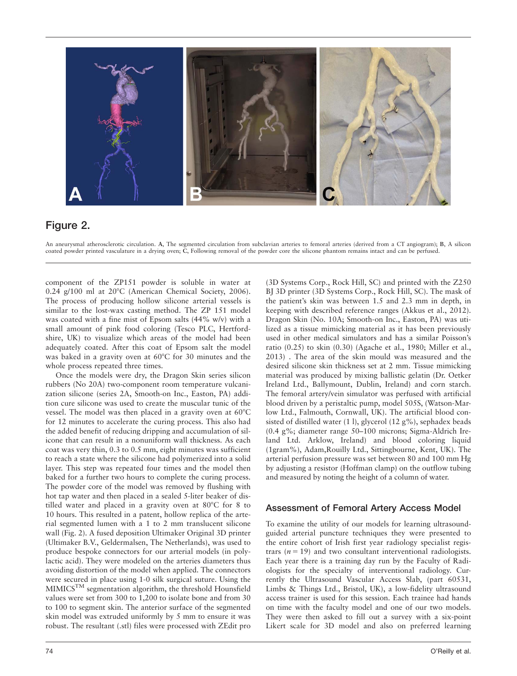

### Figure 2.

An aneurysmal atherosclerotic circulation. A, The segmented circulation from subclavian arteries to femoral arteries (derived from a CT angiogram); B, A silicon coated powder printed vasculature in a drying oven; C, Following removal of the powder core the silicone phantom remains intact and can be perfused.

component of the ZP151 powder is soluble in water at  $0.24$  g/100 ml at  $20^{\circ}$ C (American Chemical Society, 2006). The process of producing hollow silicone arterial vessels is similar to the lost-wax casting method. The ZP 151 model was coated with a fine mist of Epsom salts (44% w/v) with a small amount of pink food coloring (Tesco PLC, Hertfordshire, UK) to visualize which areas of the model had been adequately coated. After this coat of Epsom salt the model was baked in a gravity oven at  $60^{\circ}$ C for 30 minutes and the whole process repeated three times.

Once the models were dry, the Dragon Skin series silicon rubbers (No 20A) two-component room temperature vulcanization silicone (series 2A, Smooth-on Inc., Easton, PA) addition cure silicone was used to create the muscular tunic of the vessel. The model was then placed in a gravity oven at  $60^{\circ}$ C for 12 minutes to accelerate the curing process. This also had the added benefit of reducing dripping and accumulation of silicone that can result in a nonuniform wall thickness. As each coat was very thin, 0.3 to 0.5 mm, eight minutes was sufficient to reach a state where the silicone had polymerized into a solid layer. This step was repeated four times and the model then baked for a further two hours to complete the curing process. The powder core of the model was removed by flushing with hot tap water and then placed in a sealed 5-liter beaker of distilled water and placed in a gravity oven at  $80^{\circ}$ C for 8 to 10 hours. This resulted in a patent, hollow replica of the arterial segmented lumen with a 1 to 2 mm translucent silicone wall (Fig. 2). A fused deposition Ultimaker Original 3D printer (Ultimaker B.V., Geldermalsen, The Netherlands), was used to produce bespoke connectors for our arterial models (in polylactic acid). They were modeled on the arteries diameters thus avoiding distortion of the model when applied. The connectors were secured in place using 1-0 silk surgical suture. Using the MIMICSTM segmentation algorithm, the threshold Hounsfield values were set from 300 to 1,200 to isolate bone and from 30 to 100 to segment skin. The anterior surface of the segmented skin model was extruded uniformly by 5 mm to ensure it was robust. The resultant (.stl) files were processed with ZEdit pro BJ 3D printer (3D Systems Corp., Rock Hill, SC). The mask of the patient's skin was between 1.5 and 2.3 mm in depth, in keeping with described reference ranges (Akkus et al., 2012). Dragon Skin (No. 10A; Smooth-on Inc., Easton, PA) was utilized as a tissue mimicking material as it has been previously used in other medical simulators and has a similar Poisson's ratio (0.25) to skin (0.30) (Agache et al., 1980; Miller et al., 2013) . The area of the skin mould was measured and the desired silicone skin thickness set at 2 mm. Tissue mimicking material was produced by mixing ballistic gelatin (Dr. Oetker Ireland Ltd., Ballymount, Dublin, Ireland) and corn starch. The femoral artery/vein simulator was perfused with artificial blood driven by a peristaltic pump, model 505S, (Watson-Marlow Ltd., Falmouth, Cornwall, UK). The artificial blood consisted of distilled water (1 l), glycerol (12 g%), sephadex beads (0.4 g%; diameter range 50–100 microns; Sigma-Aldrich Ireland Ltd. Arklow, Ireland) and blood coloring liquid (1gram%), Adam,Rouilly Ltd., Sittingbourne, Kent, UK). The arterial perfusion pressure was set between 80 and 100 mm Hg by adjusting a resistor (Hoffman clamp) on the outflow tubing and measured by noting the height of a column of water.

(3D Systems Corp., Rock Hill, SC) and printed with the Z250

#### Assessment of Femoral Artery Access Model

To examine the utility of our models for learning ultrasoundguided arterial puncture techniques they were presented to the entire cohort of Irish first year radiology specialist registrars  $(n = 19)$  and two consultant interventional radiologists. Each year there is a training day run by the Faculty of Radiologists for the specialty of interventional radiology. Currently the Ultrasound Vascular Access Slab, (part 60531, Limbs & Things Ltd., Bristol, UK), a low-fidelity ultrasound access trainer is used for this session. Each trainee had hands on time with the faculty model and one of our two models. They were then asked to fill out a survey with a six-point Likert scale for 3D model and also on preferred learning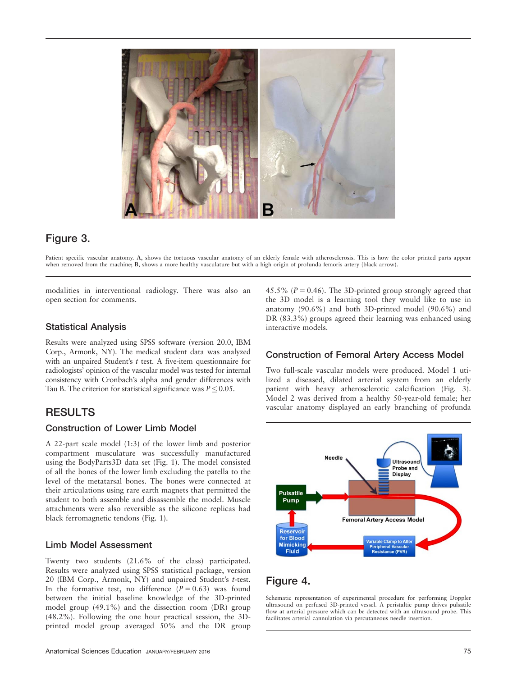

## Figure 3.

Patient specific vascular anatomy. A, shows the tortuous vascular anatomy of an elderly female with atherosclerosis. This is how the color printed parts appear when removed from the machine; B, shows a more healthy vasculature but with a high origin of profunda femoris artery (black arrow).

modalities in interventional radiology. There was also an open section for comments.

#### Statistical Analysis

Results were analyzed using SPSS software (version 20.0, IBM Corp., Armonk, NY). The medical student data was analyzed with an unpaired Student's  $t$  test. A five-item questionnaire for radiologists' opinion of the vascular model was tested for internal consistency with Cronbach's alpha and gender differences with Tau B. The criterion for statistical significance was  $P \leq 0.05$ .

### RESULTS

#### Construction of Lower Limb Model

A 22-part scale model (1:3) of the lower limb and posterior compartment musculature was successfully manufactured using the BodyParts3D data set (Fig. 1). The model consisted of all the bones of the lower limb excluding the patella to the level of the metatarsal bones. The bones were connected at their articulations using rare earth magnets that permitted the student to both assemble and disassemble the model. Muscle attachments were also reversible as the silicone replicas had black ferromagnetic tendons (Fig. 1).

#### Limb Model Assessment

Twenty two students (21.6% of the class) participated. Results were analyzed using SPSS statistical package, version 20 (IBM Corp., Armonk, NY) and unpaired Student's t-test. In the formative test, no difference  $(P = 0.63)$  was found between the initial baseline knowledge of the 3D-printed model group (49.1%) and the dissection room (DR) group (48.2%). Following the one hour practical session, the 3Dprinted model group averaged 50% and the DR group 45.5% ( $P = 0.46$ ). The 3D-printed group strongly agreed that the 3D model is a learning tool they would like to use in anatomy (90.6%) and both 3D-printed model (90.6%) and DR (83.3%) groups agreed their learning was enhanced using interactive models.

#### Construction of Femoral Artery Access Model

Two full-scale vascular models were produced. Model 1 utilized a diseased, dilated arterial system from an elderly patient with heavy atherosclerotic calcification (Fig. 3). Model 2 was derived from a healthy 50-year-old female; her vascular anatomy displayed an early branching of profunda



## Figure 4.

Schematic representation of experimental procedure for performing Doppler ultrasound on perfused 3D-printed vessel. A peristaltic pump drives pulsatile flow at arterial pressure which can be detected with an ultrasound probe. This facilitates arterial cannulation via percutaneous needle insertion.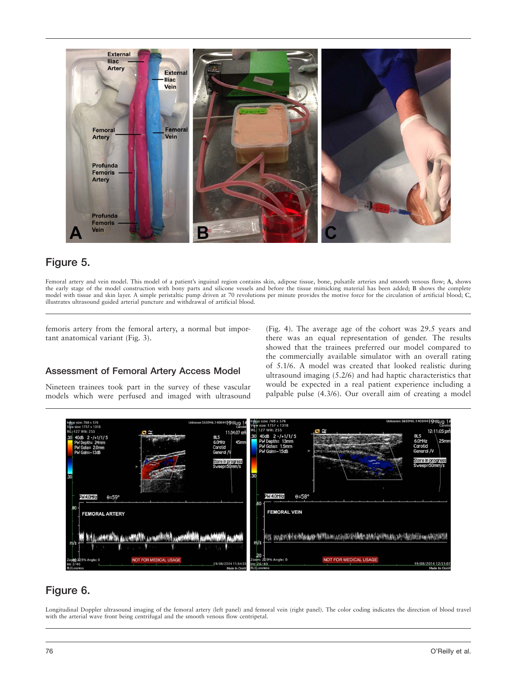

## Figure 5.

Femoral artery and vein model. This model of a patient's inguinal region contains skin, adipose tissue, bone, pulsatile arteries and smooth venous flow; A, shows the early stage of the model construction with bony parts and silicone vessels and before the tissue mimicking material has been added; B shows the complete model with tissue and skin layer. A simple peristaltic pump driven at 70 revolutions per minute provides the motive force for the circulation of artificial blood; C, illustrates ultrasound guided arterial puncture and withdrawal of artificial blood.

femoris artery from the femoral artery, a normal but important anatomical variant (Fig. 3).

#### Assessment of Femoral Artery Access Model

Nineteen trainees took part in the survey of these vascular models which were perfused and imaged with ultrasound (Fig. 4). The average age of the cohort was 29.5 years and there was an equal representation of gender. The results showed that the trainees preferred our model compared to the commercially available simulator with an overall rating of 5.1/6. A model was created that looked realistic during ultrasound imaging (5.2/6) and had haptic characteristics that would be expected in a real patient experience including a palpable pulse (4.3/6). Our overall aim of creating a model



## Figure 6.

Longitudinal Doppler ultrasound imaging of the femoral artery (left panel) and femoral vein (right panel). The color coding indicates the direction of blood travel with the arterial wave front being centrifugal and the smooth venous flow centripetal.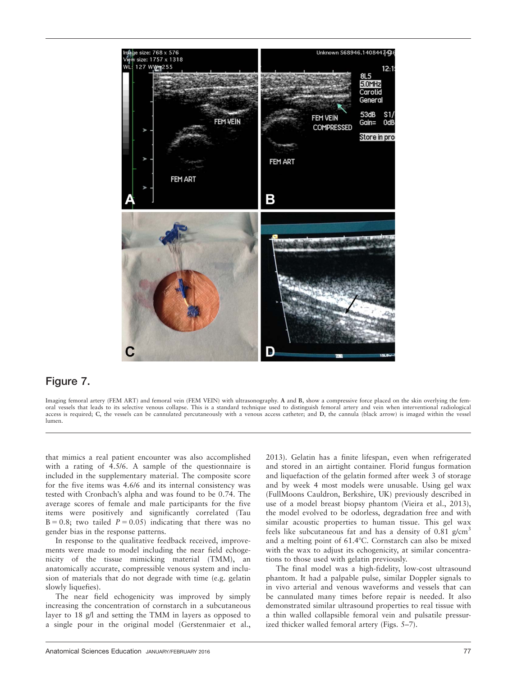

### Figure 7.

Imaging femoral artery (FEM ART) and femoral vein (FEM VEIN) with ultrasonography. A and B, show a compressive force placed on the skin overlying the femoral vessels that leads to its selective venous collapse. This is a standard technique used to distinguish femoral artery and vein when interventional radiological access is required; C, the vessels can be cannulated percutaneously with a venous access catheter; and D, the cannula (black arrow) is imaged within the vessel lumen.

that mimics a real patient encounter was also accomplished with a rating of 4.5/6. A sample of the questionnaire is included in the supplementary material. The composite score for the five items was 4.6/6 and its internal consistency was tested with Cronbach's alpha and was found to be 0.74. The average scores of female and male participants for the five items were positively and significantly correlated (Tau  $B = 0.8$ ; two tailed  $P = 0.05$ ) indicating that there was no gender bias in the response patterns.

In response to the qualitative feedback received, improvements were made to model including the near field echogenicity of the tissue mimicking material (TMM), an anatomically accurate, compressible venous system and inclusion of materials that do not degrade with time (e.g. gelatin slowly liquefies).

The near field echogenicity was improved by simply increasing the concentration of cornstarch in a subcutaneous layer to 18 g/l and setting the TMM in layers as opposed to a single pour in the original model (Gerstenmaier et al., 2013). Gelatin has a finite lifespan, even when refrigerated and stored in an airtight container. Florid fungus formation and liquefaction of the gelatin formed after week 3 of storage and by week 4 most models were unusable. Using gel wax (FullMoons Cauldron, Berkshire, UK) previously described in use of a model breast biopsy phantom (Vieira et al., 2013), the model evolved to be odorless, degradation free and with similar acoustic properties to human tissue. This gel wax feels like subcutaneous fat and has a density of  $0.81$  g/cm<sup>3</sup> and a melting point of  $61.4^{\circ}$ C. Cornstarch can also be mixed with the wax to adjust its echogenicity, at similar concentrations to those used with gelatin previously.

The final model was a high-fidelity, low-cost ultrasound phantom. It had a palpable pulse, similar Doppler signals to in vivo arterial and venous waveforms and vessels that can be cannulated many times before repair is needed. It also demonstrated similar ultrasound properties to real tissue with a thin walled collapsible femoral vein and pulsatile pressurized thicker walled femoral artery (Figs. 5–7).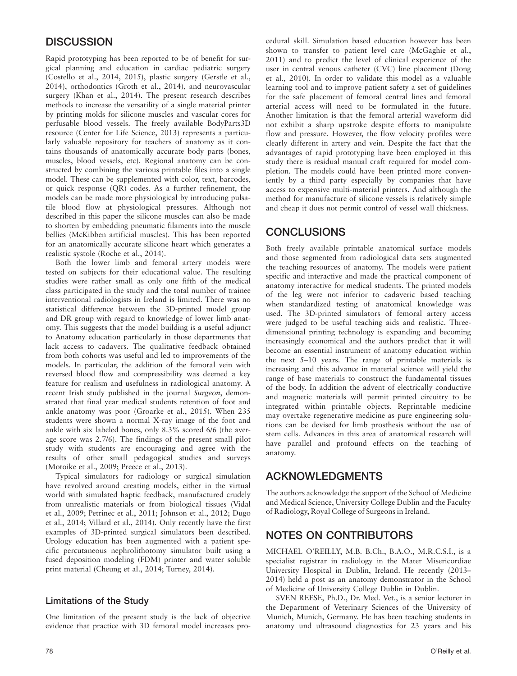### **DISCUSSION**

Rapid prototyping has been reported to be of benefit for surgical planning and education in cardiac pediatric surgery (Costello et al., 2014, 2015), plastic surgery (Gerstle et al., 2014), orthodontics (Groth et al., 2014), and neurovascular surgery (Khan et al., 2014). The present research describes methods to increase the versatility of a single material printer by printing molds for silicone muscles and vascular cores for perfusable blood vessels. The freely available BodyParts3D resource (Center for Life Science, 2013) represents a particularly valuable repository for teachers of anatomy as it contains thousands of anatomically accurate body parts (bones, muscles, blood vessels, etc). Regional anatomy can be constructed by combining the various printable files into a single model. These can be supplemented with color, text, barcodes, or quick response (QR) codes. As a further refinement, the models can be made more physiological by introducing pulsatile blood flow at physiological pressures. Although not described in this paper the silicone muscles can also be made to shorten by embedding pneumatic filaments into the muscle bellies (McKibben artificial muscles). This has been reported for an anatomically accurate silicone heart which generates a realistic systole (Roche et al., 2014).

Both the lower limb and femoral artery models were tested on subjects for their educational value. The resulting studies were rather small as only one fifth of the medical class participated in the study and the total number of trainee interventional radiologists in Ireland is limited. There was no statistical difference between the 3D-printed model group and DR group with regard to knowledge of lower limb anatomy. This suggests that the model building is a useful adjunct to Anatomy education particularly in those departments that lack access to cadavers. The qualitative feedback obtained from both cohorts was useful and led to improvements of the models. In particular, the addition of the femoral vein with reversed blood flow and compressibility was deemed a key feature for realism and usefulness in radiological anatomy. A recent Irish study published in the journal Surgeon, demonstrated that final year medical students retention of foot and ankle anatomy was poor (Groarke et al., 2015). When 235 students were shown a normal X-ray image of the foot and ankle with six labeled bones, only 8.3% scored 6/6 (the average score was 2.7/6). The findings of the present small pilot study with students are encouraging and agree with the results of other small pedagogical studies and surveys (Motoike et al., 2009; Preece et al., 2013).

Typical simulators for radiology or surgical simulation have revolved around creating models, either in the virtual world with simulated haptic feedback, manufactured crudely from unrealistic materials or from biological tissues (Vidal et al., 2009; Petrinec et al., 2011; Johnson et al., 2012; Dugo et al., 2014; Villard et al., 2014). Only recently have the first examples of 3D-printed surgical simulators been described. Urology education has been augmented with a patient specific percutaneous nephrolithotomy simulator built using a fused deposition modeling (FDM) printer and water soluble print material (Cheung et al., 2014; Turney, 2014).

#### Limitations of the Study

One limitation of the present study is the lack of objective evidence that practice with 3D femoral model increases procedural skill. Simulation based education however has been shown to transfer to patient level care (McGaghie et al., 2011) and to predict the level of clinical experience of the user in central venous catheter (CVC) line placement (Dong et al., 2010). In order to validate this model as a valuable learning tool and to improve patient safety a set of guidelines for the safe placement of femoral central lines and femoral arterial access will need to be formulated in the future. Another limitation is that the femoral arterial waveform did not exhibit a sharp upstroke despite efforts to manipulate flow and pressure. However, the flow velocity profiles were clearly different in artery and vein. Despite the fact that the advantages of rapid prototyping have been employed in this study there is residual manual craft required for model completion. The models could have been printed more conveniently by a third party especially by companies that have access to expensive multi-material printers. And although the method for manufacture of silicone vessels is relatively simple and cheap it does not permit control of vessel wall thickness.

### **CONCLUSIONS**

Both freely available printable anatomical surface models and those segmented from radiological data sets augmented the teaching resources of anatomy. The models were patient specific and interactive and made the practical component of anatomy interactive for medical students. The printed models of the leg were not inferior to cadaveric based teaching when standardized testing of anatomical knowledge was used. The 3D-printed simulators of femoral artery access were judged to be useful teaching aids and realistic. Threedimensional printing technology is expanding and becoming increasingly economical and the authors predict that it will become an essential instrument of anatomy education within the next 5–10 years. The range of printable materials is increasing and this advance in material science will yield the range of base materials to construct the fundamental tissues of the body. In addition the advent of electrically conductive and magnetic materials will permit printed circuitry to be integrated within printable objects. Reprintable medicine may overtake regenerative medicine as pure engineering solutions can be devised for limb prosthesis without the use of stem cells. Advances in this area of anatomical research will have parallel and profound effects on the teaching of anatomy.

## ACKNOWLEDGMENTS

The authors acknowledge the support of the School of Medicine and Medical Science, University College Dublin and the Faculty of Radiology, Royal College of Surgeons in Ireland.

## NOTES ON CONTRIBUTORS

MICHAEL O'REILLY, M.B. B.Ch., B.A.O., M.R.C.S.I., is a specialist registrar in radiology in the Mater Misericordiae University Hospital in Dublin, Ireland. He recently (2013– 2014) held a post as an anatomy demonstrator in the School of Medicine of University College Dublin in Dublin.

SVEN REESE, Ph.D., Dr. Med. Vet., is a senior lecturer in the Department of Veterinary Sciences of the University of Munich, Munich, Germany. He has been teaching students in anatomy und ultrasound diagnostics for 23 years and his